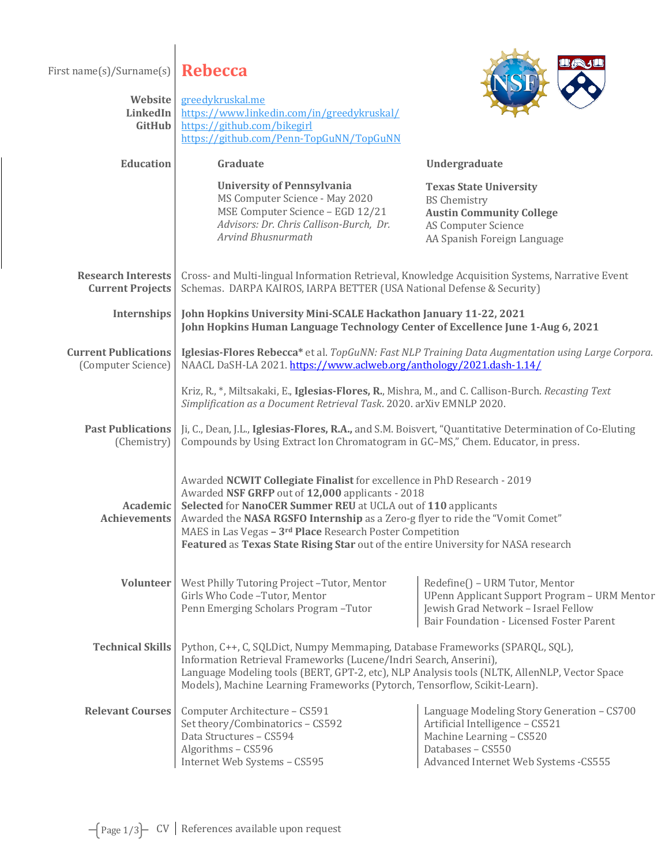First name(s)/Surname(s) **Rebecca** 



| Website<br>LinkedIn<br>GitHub                        | greedykruskal.me<br>https://www.linkedin.com/in/greedykruskal/<br>https://github.com/bikegirl<br>https://github.com/Penn-TopGuNN/TopGuNN                                                                                                                                                                                                                                                                                                     |                                                                                                                                                                         |  |
|------------------------------------------------------|----------------------------------------------------------------------------------------------------------------------------------------------------------------------------------------------------------------------------------------------------------------------------------------------------------------------------------------------------------------------------------------------------------------------------------------------|-------------------------------------------------------------------------------------------------------------------------------------------------------------------------|--|
| <b>Education</b>                                     | Graduate                                                                                                                                                                                                                                                                                                                                                                                                                                     | Undergraduate                                                                                                                                                           |  |
|                                                      | <b>University of Pennsylvania</b><br>MS Computer Science - May 2020<br>MSE Computer Science - EGD 12/21<br>Advisors: Dr. Chris Callison-Burch, Dr.<br><b>Arvind Bhusnurmath</b>                                                                                                                                                                                                                                                              | <b>Texas State University</b><br><b>BS Chemistry</b><br><b>Austin Community College</b><br><b>AS Computer Science</b><br>AA Spanish Foreign Language                    |  |
| <b>Research Interests</b><br><b>Current Projects</b> | Cross- and Multi-lingual Information Retrieval, Knowledge Acquisition Systems, Narrative Event<br>Schemas. DARPA KAIROS, IARPA BETTER (USA National Defense & Security)                                                                                                                                                                                                                                                                      |                                                                                                                                                                         |  |
| Internships                                          | John Hopkins University Mini-SCALE Hackathon January 11-22, 2021<br>John Hopkins Human Language Technology Center of Excellence June 1-Aug 6, 2021                                                                                                                                                                                                                                                                                           |                                                                                                                                                                         |  |
| <b>Current Publications</b><br>(Computer Science)    | Iglesias-Flores Rebecca* et al. TopGuNN: Fast NLP Training Data Augmentation using Large Corpora.<br>NAACL DaSH-LA 2021. https://www.aclweb.org/anthology/2021.dash-1.14/                                                                                                                                                                                                                                                                    |                                                                                                                                                                         |  |
|                                                      | Kriz, R., *, Miltsakaki, E., Iglesias-Flores, R., Mishra, M., and C. Callison-Burch. Recasting Text<br>Simplification as a Document Retrieval Task. 2020. arXiv EMNLP 2020.                                                                                                                                                                                                                                                                  |                                                                                                                                                                         |  |
| <b>Past Publications</b><br>(Chemistry)              | Ji, C., Dean, J.L., Iglesias-Flores, R.A., and S.M. Boisvert, "Quantitative Determination of Co-Eluting<br>Compounds by Using Extract Ion Chromatogram in GC-MS," Chem. Educator, in press.                                                                                                                                                                                                                                                  |                                                                                                                                                                         |  |
| Academic<br><b>Achievements</b>                      | Awarded NCWIT Collegiate Finalist for excellence in PhD Research - 2019<br>Awarded NSF GRFP out of 12,000 applicants - 2018<br>Selected for NanoCER Summer REU at UCLA out of 110 applicants<br>Awarded the NASA RGSFO Internship as a Zero-g flyer to ride the "Vomit Comet"<br>MAES in Las Vegas - 3 <sup>rd</sup> Place Research Poster Competition<br>Featured as Texas State Rising Star out of the entire University for NASA research |                                                                                                                                                                         |  |
| <b>Volunteer</b>                                     | West Philly Tutoring Project-Tutor, Mentor<br>Girls Who Code-Tutor, Mentor<br>Penn Emerging Scholars Program-Tutor                                                                                                                                                                                                                                                                                                                           | Redefine() - URM Tutor, Mentor<br>UPenn Applicant Support Program - URM Mentor<br>Jewish Grad Network - Israel Fellow<br>Bair Foundation - Licensed Foster Parent       |  |
| <b>Technical Skills</b>                              | Python, C++, C, SQLDict, Numpy Memmaping, Database Frameworks (SPARQL, SQL),<br>Information Retrieval Frameworks (Lucene/Indri Search, Anserini),<br>Language Modeling tools (BERT, GPT-2, etc), NLP Analysis tools (NLTK, AllenNLP, Vector Space<br>Models), Machine Learning Frameworks (Pytorch, Tensorflow, Scikit-Learn).                                                                                                               |                                                                                                                                                                         |  |
| <b>Relevant Courses</b>                              | Computer Architecture - CS591<br>Set theory/Combinatorics - CS592<br>Data Structures - CS594<br>Algorithms - CS596<br>Internet Web Systems - CS595                                                                                                                                                                                                                                                                                           | Language Modeling Story Generation - CS700<br>Artificial Intelligence - CS521<br>Machine Learning - CS520<br>Databases - CS550<br>Advanced Internet Web Systems - CS555 |  |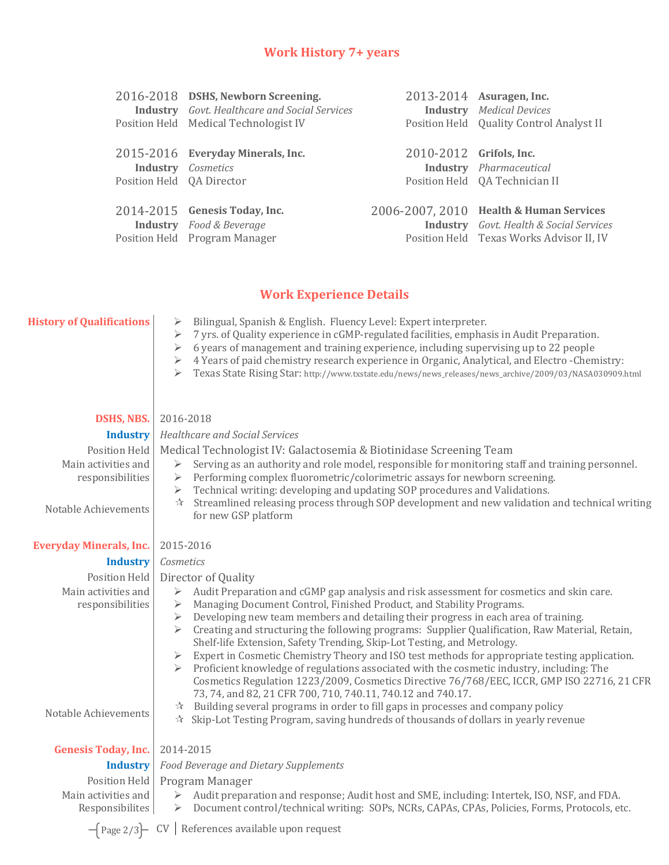## **Work History 7+ years**

|                           | 2016-2018 DSHS, Newborn Screening.                   |                         | 2013-2014 Asuragen, Inc.                       |
|---------------------------|------------------------------------------------------|-------------------------|------------------------------------------------|
|                           | <b>Industry</b> Govt. Healthcare and Social Services |                         | <b>Industry</b> Medical Devices                |
|                           | Position Held Medical Technologist IV                |                         | Position Held Quality Control Analyst II       |
|                           |                                                      |                         |                                                |
|                           | 2015-2016 Everyday Minerals, Inc.                    | 2010-2012 Grifols, Inc. |                                                |
|                           | <b>Industry</b> <i>Cosmetics</i>                     |                         | <b>Industry</b> <i>Pharmaceutical</i>          |
| Position Held QA Director |                                                      |                         | Position Held QA Technician II                 |
|                           |                                                      |                         |                                                |
|                           | 2014-2015 Genesis Today, Inc.                        |                         | 2006-2007, 2010 Health & Human Services        |
|                           | <b>Industry</b> Food & Beverage                      |                         | <b>Industry</b> Govt. Health & Social Services |
|                           | Position Held Program Manager                        |                         | Position Held Texas Works Advisor II, IV       |
|                           |                                                      |                         |                                                |

## **Work Experience Details**

| <b>History of Qualifications</b>       | Bilingual, Spanish & English. Fluency Level: Expert interpreter.<br>➤<br>7 yrs. of Quality experience in cGMP-regulated facilities, emphasis in Audit Preparation.<br>⋗<br>6 years of management and training experience, including supervising up to 22 people<br>4 Years of paid chemistry research experience in Organic, Analytical, and Electro -Chemistry:<br>Texas State Rising Star: http://www.txstate.edu/news/news_releases/news_archive/2009/03/NASA030909.html                                                                                                                                                                               |  |
|----------------------------------------|-----------------------------------------------------------------------------------------------------------------------------------------------------------------------------------------------------------------------------------------------------------------------------------------------------------------------------------------------------------------------------------------------------------------------------------------------------------------------------------------------------------------------------------------------------------------------------------------------------------------------------------------------------------|--|
| <b>DSHS, NBS.</b>                      | 2016-2018                                                                                                                                                                                                                                                                                                                                                                                                                                                                                                                                                                                                                                                 |  |
| <b>Industry</b>                        | <b>Healthcare and Social Services</b>                                                                                                                                                                                                                                                                                                                                                                                                                                                                                                                                                                                                                     |  |
| Position Held                          | Medical Technologist IV: Galactosemia & Biotinidase Screening Team                                                                                                                                                                                                                                                                                                                                                                                                                                                                                                                                                                                        |  |
| Main activities and                    | Serving as an authority and role model, responsible for monitoring staff and training personnel.<br>$\blacktriangleright$                                                                                                                                                                                                                                                                                                                                                                                                                                                                                                                                 |  |
| responsibilities                       | Performing complex fluorometric/colorimetric assays for newborn screening.<br>$\blacktriangleright$                                                                                                                                                                                                                                                                                                                                                                                                                                                                                                                                                       |  |
| Notable Achievements                   | Technical writing: developing and updating SOP procedures and Validations.<br>➤<br>Streamlined releasing process through SOP development and new validation and technical writing<br>$\frac{1}{2}$<br>for new GSP platform                                                                                                                                                                                                                                                                                                                                                                                                                                |  |
| <b>Everyday Minerals, Inc.</b>         | 2015-2016                                                                                                                                                                                                                                                                                                                                                                                                                                                                                                                                                                                                                                                 |  |
| <b>Industry</b>                        | Cosmetics                                                                                                                                                                                                                                                                                                                                                                                                                                                                                                                                                                                                                                                 |  |
| Position Held                          | Director of Quality                                                                                                                                                                                                                                                                                                                                                                                                                                                                                                                                                                                                                                       |  |
| Main activities and                    | Audit Preparation and cGMP gap analysis and risk assessment for cosmetics and skin care.<br>$\blacktriangleright$                                                                                                                                                                                                                                                                                                                                                                                                                                                                                                                                         |  |
| responsibilities                       | Managing Document Control, Finished Product, and Stability Programs.<br>➤                                                                                                                                                                                                                                                                                                                                                                                                                                                                                                                                                                                 |  |
|                                        | Developing new team members and detailing their progress in each area of training.<br>$\blacktriangleright$<br>Creating and structuring the following programs: Supplier Qualification, Raw Material, Retain,<br>➤<br>Shelf-life Extension, Safety Trending, Skip-Lot Testing, and Metrology.<br>Expert in Cosmetic Chemistry Theory and ISO test methods for appropriate testing application.<br>Proficient knowledge of regulations associated with the cosmetic industry, including: The<br>Cosmetics Regulation 1223/2009, Cosmetics Directive 76/768/EEC, ICCR, GMP ISO 22716, 21 CFR<br>73, 74, and 82, 21 CFR 700, 710, 740.11, 740.12 and 740.17. |  |
| Notable Achievements                   | Building several programs in order to fill gaps in processes and company policy<br>$\frac{1}{2}$<br>$\hat{x}$ Skip-Lot Testing Program, saving hundreds of thousands of dollars in yearly revenue                                                                                                                                                                                                                                                                                                                                                                                                                                                         |  |
| <b>Genesis Today, Inc.</b>             | 2014-2015                                                                                                                                                                                                                                                                                                                                                                                                                                                                                                                                                                                                                                                 |  |
| <b>Industry</b>                        | Food Beverage and Dietary Supplements                                                                                                                                                                                                                                                                                                                                                                                                                                                                                                                                                                                                                     |  |
| Position Held                          | Program Manager                                                                                                                                                                                                                                                                                                                                                                                                                                                                                                                                                                                                                                           |  |
| Main activities and<br>Responsibilites | Audit preparation and response; Audit host and SME, including: Intertek, ISO, NSF, and FDA.<br>➤<br>Document control/technical writing: SOPs, NCRs, CAPAs, CPAs, Policies, Forms, Protocols, etc.<br>➤                                                                                                                                                                                                                                                                                                                                                                                                                                                    |  |

 $-\left(\frac{\text{Page 2}{3}}{\text{CV}}\right)$  CV References available upon request